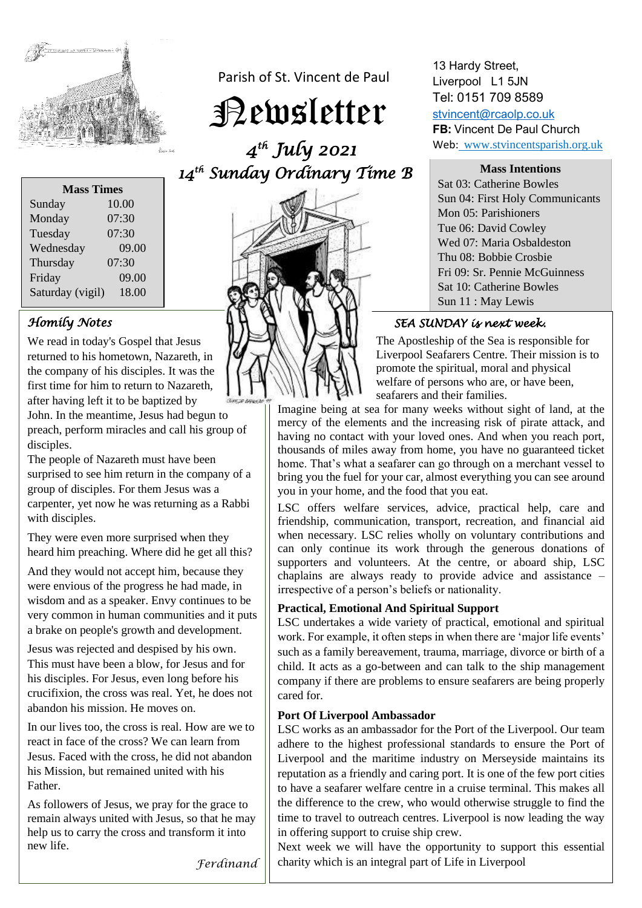

Parish of St. Vincent de Paul

Newsletter

 *4 th July 2021 14 th Sunday Ordinary Time B* 



13 Hardy Street, Liverpool L1 5JN Tel: 0151 709 8589

[stvincent@rcaolp.co.uk](mailto:stvincent@rcaolp.co.uk) **FB:** Vincent De Paul Church Web: www.stvincentsparish.org.uk

**Mass Intentions**

Sat 03: Catherine Bowles Sun 04: First Holy Communicants Mon 05: Parishioners Tue 06: David Cowley Wed 07: Maria Osbaldeston Thu 08: Bobbie Crosbie Fri 09: Sr. Pennie McGuinness Sat 10: Catherine Bowles Sun 11 : May Lewis

### *SEA SUNDAY is next week.*

The Apostleship of the Sea is responsible for Liverpool Seafarers Centre. Their mission is to promote the spiritual, moral and physical welfare of persons who are, or have been, seafarers and their families.

Imagine being at sea for many weeks without sight of land, at the mercy of the elements and the increasing risk of pirate attack, and having no contact with your loved ones. And when you reach port, thousands of miles away from home, you have no guaranteed ticket home. That's what a seafarer can go through on a merchant vessel to bring you the fuel for your car, almost everything you can see around you in your home, and the food that you eat.

LSC offers welfare services, advice, practical help, care and friendship, communication, transport, recreation, and financial aid when necessary. LSC relies wholly on voluntary contributions and can only continue its work through the generous donations of supporters and volunteers. At the centre, or aboard ship, LSC chaplains are always ready to provide advice and assistance – irrespective of a person's beliefs or nationality.

### **Practical, Emotional And Spiritual Support**

LSC undertakes a wide variety of practical, emotional and spiritual work. For example, it often steps in when there are 'major life events' such as a family bereavement, trauma, marriage, divorce or birth of a child. It acts as a go-between and can talk to the ship management company if there are problems to ensure seafarers are being properly cared for.

#### **Port Of Liverpool Ambassador**

LSC works as an ambassador for the Port of the Liverpool. Our team adhere to the highest professional standards to ensure the Port of Liverpool and the maritime industry on Merseyside maintains its reputation as a friendly and caring port. It is one of the few port cities to have a seafarer welfare centre in a cruise terminal. This makes all the difference to the crew, who would otherwise struggle to find the time to travel to outreach centres. Liverpool is now leading the way in offering support to cruise ship crew.

Next week we will have the opportunity to support this essential charity which is an integral part of Life in Liverpool

| <b>Mass Times</b> |       |
|-------------------|-------|
| Sunday            | 10.00 |
| Monday            | 07:30 |
| Tuesday           | 07:30 |
| Wednesday         | 09.00 |
| Thursday          | 07:30 |
| Friday            | 09.00 |
| Saturday (vigil)  | 18.00 |

# *Homily Notes*

We read in today's Gospel that Jesus returned to his hometown, Nazareth, in the company of his disciples. It was the first time for him to return to Nazareth, after having left it to be baptized by John. In the meantime, Jesus had begun to preach, perform miracles and call his group of disciples.

The people of Nazareth must have been surprised to see him return in the company of a group of disciples. For them Jesus was a carpenter, yet now he was returning as a Rabbi with disciples.

They were even more surprised when they heard him preaching. Where did he get all this?

And they would not accept him, because they were envious of the progress he had made, in wisdom and as a speaker. Envy continues to be very common in human communities and it puts a brake on people's growth and development.

Jesus was rejected and despised by his own. This must have been a blow, for Jesus and for his disciples. For Jesus, even long before his crucifixion, the cross was real. Yet, he does not abandon his mission. He moves on.

In our lives too, the cross is real. How are we to react in face of the cross? We can learn from Jesus. Faced with the cross, he did not abandon his Mission, but remained united with his Father.

As followers of Jesus, we pray for the grace to remain always united with Jesus, so that he may help us to carry the cross and transform it into new life.

*Ferdinand*